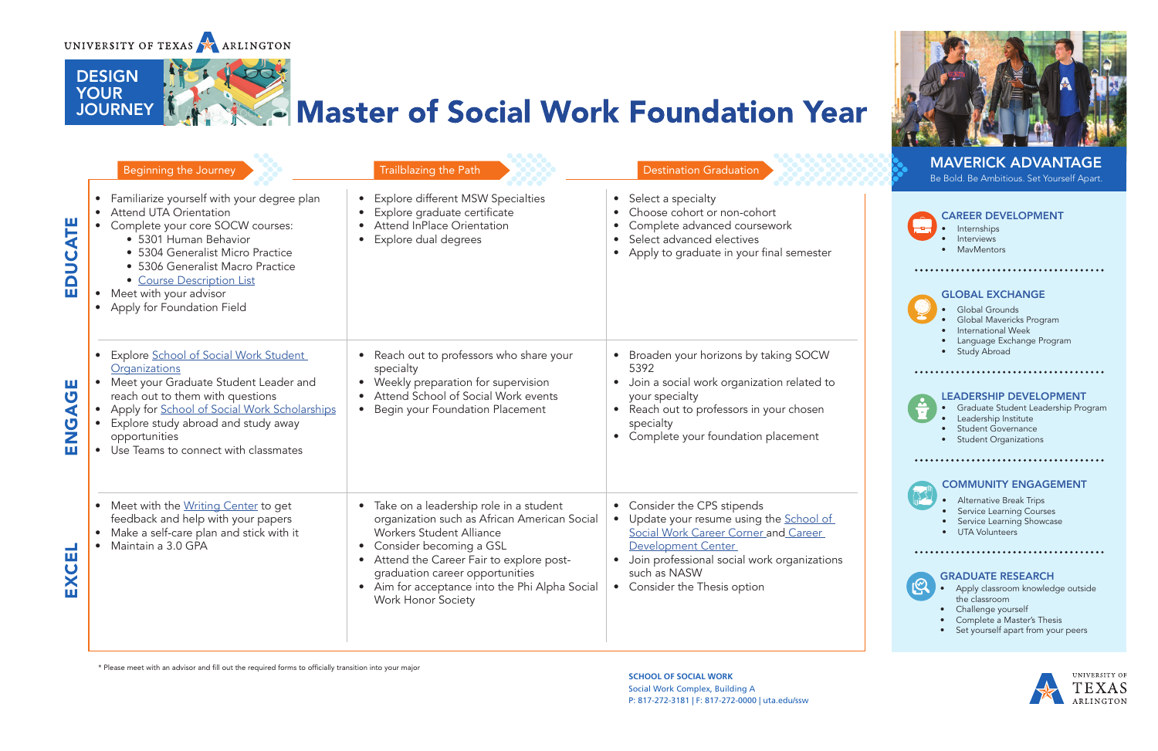

DESIGN DESIGN YOUR<br>JOURNE

DESIGN<br>VOLIR

**TOUR** 

**JOURNEY** 

**SCHOOL OF SOCIAL WORK SCHOOL OF SOCIAL WORK Social Work Complex, Building A** P: 817-272-3181 | F: 817-272-0000 | uta.edu/ssw<br>|-.<br>T. 017 **SCHOOL OF SOCIAL WORK** Social Work Complex, Building A  $P: 817 - 272 - 31811 F: 817 - 272 - 0000$ 





## MAVERICK ADVANTAGE

\* Please meet with an advisor and fill out the required forms to officially transition into your major \* Please meet with an advisor and fill out the required forms to officially transition into your major

|                                                | Beginning the Journey                                                                                                                                                                                                                                                                                     | Trailblazing the Path                                                                                                                                                                                                                                                                                                                                    | <b>Destination Graduation</b>                                                                                                                                                                                                      | <b>MAVERICK ADVANTAGE</b><br>Be Bold. Be Ambitious. Set Yourself Apart.                                                                                                                                                                                                                                     |
|------------------------------------------------|-----------------------------------------------------------------------------------------------------------------------------------------------------------------------------------------------------------------------------------------------------------------------------------------------------------|----------------------------------------------------------------------------------------------------------------------------------------------------------------------------------------------------------------------------------------------------------------------------------------------------------------------------------------------------------|------------------------------------------------------------------------------------------------------------------------------------------------------------------------------------------------------------------------------------|-------------------------------------------------------------------------------------------------------------------------------------------------------------------------------------------------------------------------------------------------------------------------------------------------------------|
| 도<br>소<br>$\bar{\mathbf{a}}$                   | • Familiarize yourself with your degree plan<br><b>Attend UTA Orientation</b><br>• Complete your core SOCW courses:<br>• 5301 Human Behavior<br>• 5304 Generalist Micro Practice<br>• 5306 Generalist Macro Practice<br>• Course Description List<br>Meet with your advisor<br>Apply for Foundation Field | • Explore different MSW Specialties<br>Explore graduate certificate<br><b>Attend InPlace Orientation</b><br>Explore dual degrees                                                                                                                                                                                                                         | • Select a specialty<br>Choose cohort or non-cohort<br>Complete advanced coursework<br>$\bullet$<br>Select advanced electives<br>$\bullet$<br>• Apply to graduate in your final semester                                           | <b>CAREER DEVELOPMENT</b><br>Internships<br>Interviews<br>MavMentors<br><b>GLOBAL EXCHANGE</b><br><b>Global Grounds</b><br>Global Mavericks Program<br>International Week                                                                                                                                   |
| Ш<br>U<br>$\blacktriangleleft$<br>Ū,<br>Ζ<br>Ш | <b>Explore School of Social Work Student</b><br>Organizations<br>• Meet your Graduate Student Leader and<br>reach out to them with questions<br>Apply for School of Social Work Scholarships<br>Explore study abroad and study away<br>opportunities<br>• Use Teams to connect with classmates            | Reach out to professors who share your<br>specialty<br>• Weekly preparation for supervision<br>Attend School of Social Work events<br>• Begin your Foundation Placement                                                                                                                                                                                  | • Broaden your horizons by taking SOCW<br>5392<br>Join a social work organization related to<br>$\bullet$<br>your specialty<br>Reach out to professors in your chosen<br>specialty<br>• Complete your foundation placement         | Language Exchange Program<br><b>Study Abroad</b><br><b>LEADERSHIP DEVELOPMENT</b><br>Graduate Student Leadership Progran<br>Leadership Institute<br>Student Governance<br><b>Student Organizations</b><br><b>COMMUNITY ENGAGEMENT</b>                                                                       |
|                                                | • Meet with the Writing Center to get<br>feedback and help with your papers<br>• Make a self-care plan and stick with it<br>Maintain a 3.0 GPA                                                                                                                                                            | Take on a leadership role in a student<br>$\bullet$<br>organization such as African American Social<br><b>Workers Student Alliance</b><br>Consider becoming a GSL<br>$\bullet$<br>Attend the Career Fair to explore post-<br>$\bullet$<br>graduation career opportunities<br>• Aim for acceptance into the Phi Alpha Social<br><b>Work Honor Society</b> | • Consider the CPS stipends<br>• Update your resume using the School of<br>Social Work Career Corner and Career<br>Development Center<br>Join professional social work organizations<br>such as NASW<br>Consider the Thesis option | <b>Alternative Break Trips</b><br><b>Service Learning Courses</b><br>Service Learning Showcase<br><b>UTA Volunteers</b><br><br><b>GRADUATE RESEARCH</b><br>Apply classroom knowledge outside<br>the classroom<br>• Challenge yourself<br>Complete a Master's Thesis<br>• Set yourself apart from your peers |

- **Internships**
- **Interviews**
- MavMentors

#### GLOBAL EXCHANGE

- Global Grounds
- Global Mavericks Program
- International Week
- Language Exchange Program

## 

JOURNEY

#### COMMUNITY ENGAGEMENT

- Alternative Break Trips
- Service Learning Courses
- Service Learning Showcase

#### LEADERSHIP DEVELOPMENT

- Graduate Student Leadership Program
- Leadership Institute
- Student Governance
- Student Organizations

## 



JOURNEY

# Master of Social Work Foundation Year

#### GRADUATE RESEARCH

- Apply classroom knowledge outside the classroom
- Challenge yourself
- Complete a Master's Thesis
- Set yourself apart from your peers



JOURNEY

### CAREER DEVELOPMENT